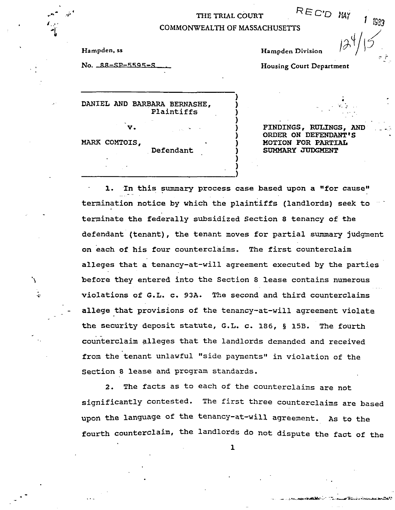## THE TRIAL COURT REC'D MAY

**1** 

**1** 

 $\frac{1}{\pi}$  .  $\frac{1}{\pi}$ 

## **1** EXAMPLE COOLS **1 1** EXAMPLE COMMONWEALTH OF MASSACHUSETTS

Hampden, ss

No. 88-SP-5595-S

**Hampden Division** 

**Housing Court Department** 

DANIEL AND **BARBARA BERNASHE, 1**  Plaintiffs **1 V. 1** 

Defendant

**MARK COMTOIS, 1** 

...

V

 $\frac{1}{2}$ 

 $FINDINGS, RULINGS, AND$ **ORDER ON** DEFENDANT'S HOTION **FOR** PARTIAL SUMMARY JUDGMENT

**1.** In this summary process case based upon a "for cause" termination notice by which the plaintiffs (landlords) seek to terminate the federally subsidized Section *8* tenancy of the defendant (tenant), the tenant moves for partial summary judgment on each of his four counterclaims. The first counterclaim alleges that a tenancy-at-will agreement executed by the parties before they entered into the Section *8* lease contains numerous .<br>.n<br>.. violations of **G.L.** c. **93A.** The second and third counterclaims allege that provisions of the tenancy-at-will agreement violate the security deposit statute, G.L. c. 186, **5 15B.** The fourth counterclaim alleges that the landlords demanded and received from the tenant unlawful "side payments" in violation of the Section *8* lease and program standards.

**2.** The facts as to each of the counterclaims are not significantly contested-The first three counterclaims are based upon the language **of** the tenancy-at-will agreement. **AS** to the fourth counterclaim, the landlords do not dispute the fact of the .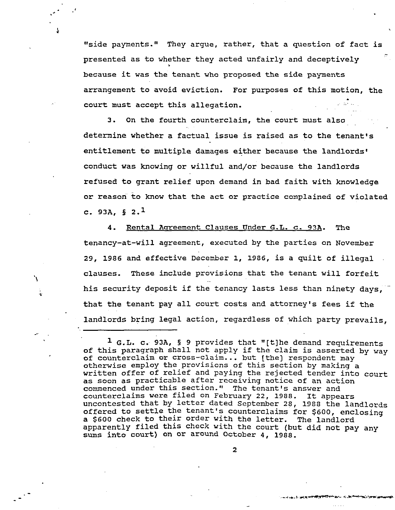"side payments." They argue, rather, that a question of fact is presented as to whether they acted unfairly and deceptively because it was the tenant who proposed the side payments arrangement to avoid eviction. For purposes of this motion, the<br>court must accept this allegation. ়<br>ক  $\frac{1}{\sqrt{2}}$ 

4

'\

÷

**3.** On the fourth counterclaim, the court must also determine whether a factual issue **is** raised as to the tenant's entitlement to multiple damages either because the landlords' conduct was knowing or willful and/or because the landlords refused to grant relief upon demand in bad faith with knowledge or reason to know that the act or practice complained of violated c.  $93A$ ,  $\S 2.$ <sup>1</sup>

**4.** Rental Asreement Clauses Under G.L. *c.* **93A.** The tenancy-at-will agreement, executed by the parties on November **29, 1986** and effective December 1, **1986,** is a quilt of illegal clauses. These include provisions that the tenant will forfeit his security deposit if the tenancy lasts less than ninety days, that the tenant pay all court costs and attorney's fees if the landlords bring legal action, regardless of which party prevails,

 $\overline{2}$ 

**<sup>1</sup>** G.L. c. **93A, 5 9** provides that "[tlhe demand requirements of this paragraph shall not apply if the claim is asserted by way of counterclaim or cross-claim... but [the] respondent may otherwise employ the provisions of this section by making a written offer of relief and paying the rejected tender into court as soon as practicable after receiving notice of an action commenced under this section." The tenant's answer and counterclaims were filed on February **22, 1988.** It appears uncontested that by letter dated September **28, 1988** the landlords offered to settle the tenant's counterclaims for **\$600,** enclosing a *\$600* check to their order with the letter. The landlord apparently filed this check with the court (but did not pay any **sums** into court) on or around October **4, 1988.**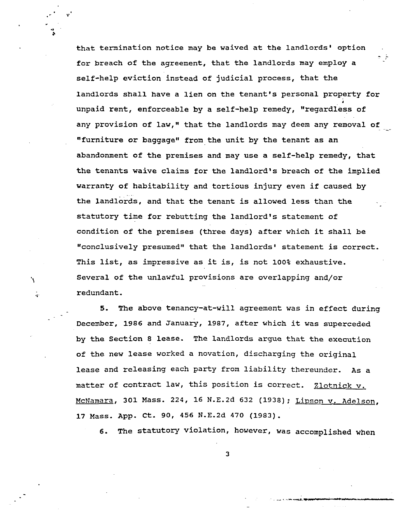that termination notice may be waived at the landlords' option for breach of the agreement, that the landlords may employ a self-help eviction instead of judicial process, that the landlords shall have a lien on the tenant's personal property for unpaid rent, enforceable by a self-help remedy, "regardless of any provision of law," that the landlords may deem any removal of "furniture or baggage" from the unit by the tenant as an abandonment of the premises and may use a self-help remedy, that the tenants waive claims for the landlord's breach of the implied warranty of habitability and tortious injury even if caused by the landlords, and that the tenant is allowed less than the statutory time for rebutting the landlord's statement of condition of the premises (three days) after which it shall be 'conclusively presumed'' that the landlords' statement is correct. This list, as impressive as it is, is not 100% exhaustive. Several of the unlawful provisions are overlapping and/or -)<br>8. A **4**  redundant.

-

*5.* The above tenancy-at-will agreement was in effect during December, 1986 and January, 1987, after which it was superceded by the Section 8 lease. The landlords argue that the execution of the new lease worked a novation, discharging the original lease and releasing each party from liability thereunder. As a matter of contract law, this position is correct. Zlotnick v. McNamara, 301 Mass. 224, 16 N.E.2d 632 (1938); Lipson v. Adelson, 17 Mass. App. Ct. 90, *456* N.E.2d 470 **(1983).** 

'\

';~

*6.* The statutory violation, however, was accomplished when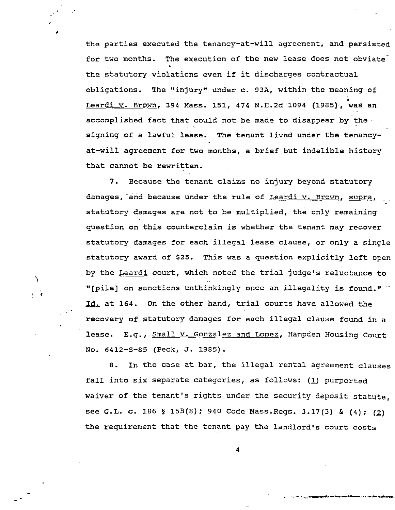the parties executed the tenancy-at-Will agreement, and persisted for two months. The execution of the new lease does not obviate the statutory violations even if it discharges contractual obligations. The "injury1' under c. **93A,** within the meaning of Leardi v. Brown, **394** Mass. 151, 474 N.E.2d 1094 (1985), was an accomplished fact that could not be made to disappear by the signing of a lawful lease. The tenant lived under the tenancy- .<br>.<br>. at-will agreement for two months, a brief but indelible history that cannot be rewritten.

\*

'\

. **'i** 

*7.* Because the tenant claims no injury beyond statutory damages, and because under the rule of Leardi v. Brown, supra, statutory damages are not to be multiplied, the only remaining question on this counterclaim is whether the tenant may recover statutory damages for each illegal lease clause, or only a single statutory award of \$25. This was a question explicitly left open by the Leardi court, which noted the trial judge's reluctance to "[pile] on sanctions unthinkingly once an illegality is found.'' by the <u>Leardi</u> court, which noted the trial judge's reluctance to "[pile] on sanctions unthinkingly once an illegality is found."<br><u>Id.</u> at 164. On the other hand, trial courts have allowed the recovery of statutory damages for each illegal clause found in a lease. E.g., Small v. **Gonzalez** and Lopez, Hampden Housing Court NO. 6412-5-85 (Peck, **J.** 1985).

8. In the case at bar, the illegal rental agreement clauses fall into six separate categories, as follows: **(1)** purported waiver of the tenant's rights under the security deposit statute, see **G.L.** c. 186 **5 lSB(8);** 940 Code Mass-Regs. 3.17(3) *ti* **(4);** *(2)*  the requirement that the tenant pay the landlord's court costs

**4** 

. .. . **.\_.-~---'--..-.C.-L-**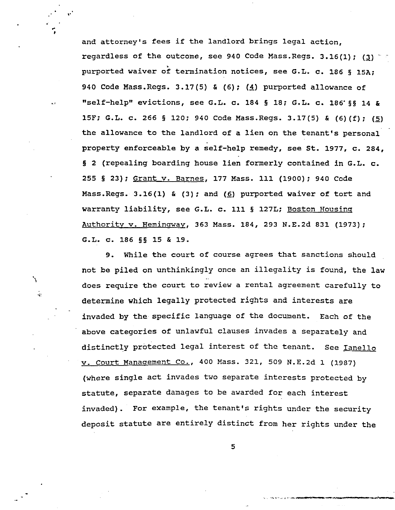and attorney's fees if the landlord brings legal action, regardless of the outcome, see 940 Code Mass. Regs. 3.16(1); (3) purported waiver of termination notices, see G.L. c. 186 **5** 15A; 940 Code Mass-Regs. 3.17(5) & (6); **(4)** purported allowance of "self-help" evictions, see G.L. c. 184 **5** 18; G.L. c. 186'55 14 & 15F; G.L. c. 266 **5** 120; 940 Code Mass.Regs. 3.17(5) & (6)(f); *(5)*  the allowance to the landlord of a lien on the tenant's personal property enforceable by a self-help remedy, see St. 1977, c. 284, **<sup>5</sup>**2 (repealing boarding house lien formerly contained in G.L. c. 255 **5** 23); Grant v. Barnes, 177 Mass. 111 (1900); 940 Code Mass.Regs. 3.16(1) & (3); and *(6)* purported waiver of tort and warranty liability, see G.L. c. 111 **5** 127L; Boston Housinq Authoritv v. Heminwav, 363 Mass. 184, 293 N.E.2d 831 (1973); G.L. c. 186 **55** 15 & 19.

 $, '$ 

'\

**.I.** 

9. While the court of course agrees that sanctions should not be piled on unthinkingly once an illegality is found, the law does require the court to review a rental agreement carefully to determine which legally protected rights and interests are invaded by the specific language Of the document. Each of the above categories of unlawful clauses invades a separately and distinctly protected legal interest of the tenant. v. Court Manaqement Co., 400 Mass. 321, 509 N.E.2d 1 (1987) (where single act invades two Separate interests protected by statute, separate damages to be awarded for each interest invaded). For example, the tenant's rights under the security deposit statute are entirely distinct from her rights under the See Tanello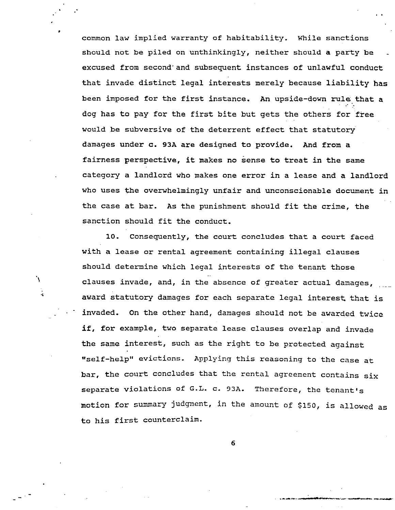common law implied warranty of habitability. While sanctions should not be piled on unthinkingly, neither should a party be excused from second'and subsequent instances of unlawful conduct that invade distinct legal interests merely because liability has been imposed for the first instance. *An* upside-down **rule** that **<sup>a</sup>** .. dog has to pay for the first bite but gets the others for free would be subversive of the deterrent effect that statutory damages under c. 93A are designed to provide. **And** from a fairness perspective, it makes no sense to treat in the same category a landlord who makes one error in a lease and a landlord who uses the overwhelmingly unfair and unconscionable document in the case at bar. As the punishment should fit the crime, the sanction should fit the conduct.

..

10. Consequently, the court concludes that a court faced with a lease or rental agreement containing illegal clauses should determine which legal interests of the tenant those clauses invade, and, in the absence of greater actual damages, award statutory damages for each separate legal interest that is invaded. On the other hand, damages should not be awarded twice if, for example, two separate lease clauses overlap and invade the same interest, such as the right to be protected against "self-help" evictions. Applying this reasoning to the case at bar, the court concludes that the rental agreement contains six separate violations Of G-L- C. **93A.** Therefore, the tenant's motion for summary judgment, in the amount of \$150, is allowed as to his first counterclaim.

'\

**'i**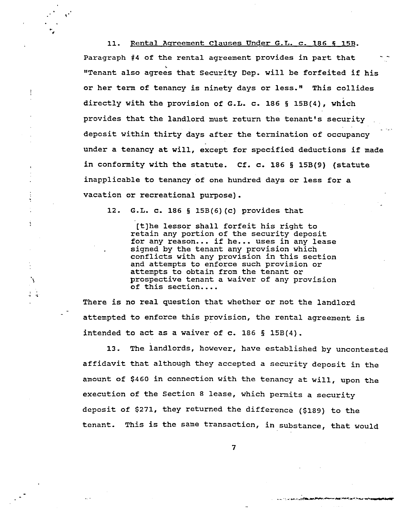11. Rental Aqreement Clauses Under **G.L.** c. 186 **6** 15B. Paragraph #4 of the rental agreement provides in part that "Tenant also agrees that Security Dep. will be forfeited if his or her term of tenancy is ninety days or less." This collides directly with the provision of **G.L.** c. 186 **5** 15B(4), which provides that the landlord must return the tenant's security deposit within thirty days after the termination of occupancy under a tenancy at will, except for specified deductions if made in conformity with the statute. Cf. c. 186 § lSB(9) (statute inapplicable to tenancy of one hundred days or less for a vacation or recreational purpose).

12. **G.L.** c. 186 **5** 15B(6)(c) provides that

!

 $\frac{1}{2}$ 

[tlhe lessor shall forfeit his right to retain any portion of the security deposit for any reason... if he... uses in any lease signed by the tenant any provision which conflicts with any provision in this section and attempts to enforce such provision or attempts to obtain from the tenant or prospective tenant a waiver of any provision of this section....

There is no real question that whether or not the landlord attempted to enforce this provision, the rental agreement is intended to act as a waiver of c. 186 **5** 15B(4).

13. The landlords, however, have established by uncontested affidavit that although they accepted a security deposit in the amount of \$460 in connection with the tenancy at will, upon the execution of the Section *8* lease, which permits a security deposit of \$271, they returned the difference (\$189) to the tenant. This is the same transaction, in substance, that would

**7** 

**CLASSIC ARTIST**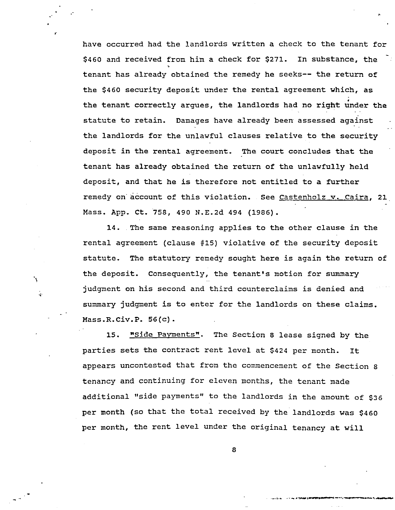have occurred had the landlords written a check to the tenant for \$460 and received from him a check for \$271. In substance, the tenant has already obtained the remedy he seeks-- the return of the \$460 security deposit under the rental agreement which, as the tenant correctly argues, the landlords had no right under the statute to retain. Damages have already been assessed against the landlords for the unlawful clauses relative to the security deposit in the rental agreement. The court concludes that the tenant has already obtained the return of the unlawfully held deposit, and that he is therefore not entitled to a further remedy on.account of this violation. See Castenholz **v.** Caira, **21.**  Mass. App. Ct. '758, 490 N.E.2d 494 (1986). - ..

14. The same reasoning applies to the other clause in the rental agreement (clause **#15)** violative of the security deposit statute. The statutory remedy sought here is again the return of the deposit. Consequently, the tenant's motion for summary judgment on his second and third counterclaims is denied and summary judgment is to enter for the landlords on these claims. Mass.R.Civ.P. 56(c).

'\

**.i'** 

15. "Side Payments". The Section *8* lease signed by the parties sets the contract rent level at \$424 per month. It appears uncontested that from the commencement of the Section *8*  tenancy and continuing for eleven months, the tenant made additional "side payments" to the landlords in the amount **of** \$36 per month (so that the total received by the landlords was \$460 per month, the rent level under the original tenancy at will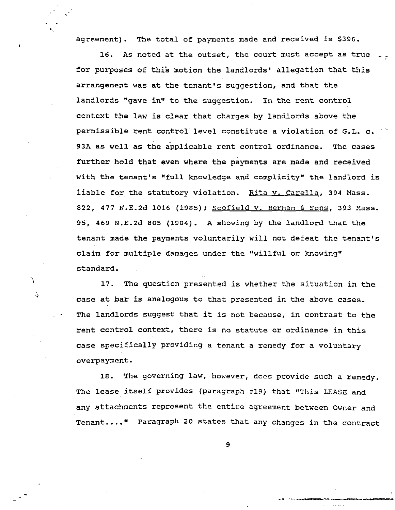agreement). The total of payments made and received is **\$396.** 

**16. As** noted at the outset, the court must accept as true \_\_ for purposes of this motion the landlords' allegation that this arrangement was at the tenant's suggestion, and that the landlords "gave **in"** to the suggestion. In the rent control context the law is clear that charges by landlords above the permissible rent control level constitute a violation of G.L. **c. 93A** as well as the applicable rent control ordinance. The cases further hold that even where the payments are made and received with the tenant's "full knowledge and complicity" the landlord is liable for the statutory violation. Rita v. Carella, **394** Mass. *822,* **477** N.E.2d **1016 (1985);** Scofield **v.** Bernan & Sons, **393** Mass. **95, 469** N.E.2d **805 (1984). A** showing by the landlord that the tenant made the payments voluntarily will not defeat the tenant's claim for multiple damages under the "willful or knowing" standard.

**17.** The question presented is whether the situation in the case at bar is analogous to that presented in the above cases. The landlords suggest that it is not because, in contrast to the rent control context, there is no statute or ordinance in this case specifically providing a tenant a remedy for a voluntary overpayment.

'N

 $\mathcal{L}$ 

**18.** The governing law, however, does provide such a remedy. The lease itself provides (paragraph **419)** that "This **LEASE** and any attachments represent the entire agreement between Owner and Tenant...." Paragraph *20* states that any changes in the contract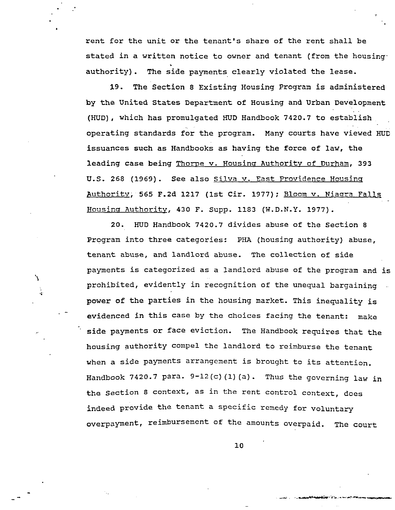rent for the unit or the tenant's share of the rent shall be stated in a written notice to owner and tenant (from the housing authority). The side payments clearly violated the lease.

**19.** The Section **8** Existing Housing Program is administered by the United States Department of Housing and Urban Development (HUD), which has promulgated HUD Handbook **7420.7** to establish operating standards for the program. Many courts have viewed HUD issuances such as Handbooks as having the force of law, the leading case being Thorpe v. Housing Authority of Durham, 393 U.S. **268 (1969).** See also Silva v. East Providence Housinq Authority, **565 F.2d 1217 (1st** Cir. **1977);** Bloom v. Nlaara Falls Housina Authoritv, **430** F. Supp. **1183 (W.D.N.Y. 1977).** 

20. HlJD Handbook **7420.7** divides abuse **of** the Section *0*  Program into three categories: PHA (housing authority) abuse, tenant abuse, and landlord abuse. The collection of side payments is categorized as a landlord abuse of the program and is prohibited, evidently in recognition of the unequal bargaining power of the parties in the housing market. This inequality is evidenced in this case by the choices facing the tenant: make side payments or face eviction. The Handbook requires that the housing authority compel the landlord to reimburse the tenant when a side payments arrangement is brought to its attention. Handbook 7420.7 para.  $9-12(c)$  (1) (a). Thus the governing law in the Section 8 context, as in the rent control context, does indeed provide the tenant a specific remedy for voluntary overpayment, reimbursement of the amounts overpaid. The court

\*\

 $\cdot$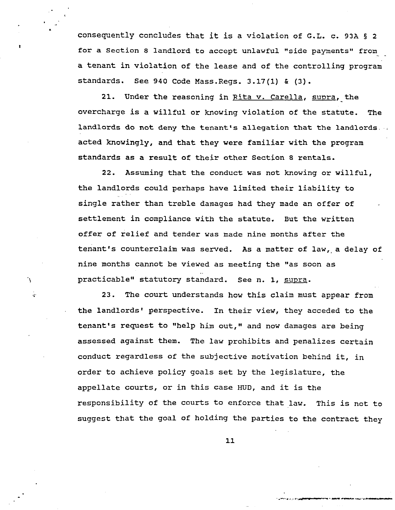consequently concludes that it is a violation of G.L. c. 93A **5** *<sup>2</sup>* for a Section 8 landlord to accept unlawful "side payments" from a tenant in violation of the lease and of the controlling program standards. See **940** Code Mass.Regs. **3.17(1)** & **(3).** 

> 21. Under the reasoning in Rita v. Carella, supra, the overcharge is a willful or knowing violation of the statute. landlords do not deny the tenant's allegation that the landlords acted knowingly, and that they were familiar with the program standards as a result of their other Section *8* rentals. The

> *22.* Assuming that the conduct was not knowing or willful, the landlords could perhaps have limited their liability to single rather than treble damages had they made an offer of settlement in compliance with the statute. But the written offer of relief and tender was made nine months after the tenant's counterclaim was served. **As** a matter of law,,a delay of nine months cannot be viewed as meeting the "as soon as practicable" statutory standard. See n. 1, supra.

٠Ņ.

÷.

**23.** The court understands how this claim must appear from the landlords' perspective. In their view, they acceded to the tenant's request to "help him out," and now damages are being assessed against them. The law prohibits and penalizes certain conduct regardless of the subjective motivation behind it, in order to achieve policy goals set by the legislature, the appellate courts, or in this case HUD, and it is the responsibility of the courts to enforce that law, This is not to suggest that the goal of holding the parties to the contract they